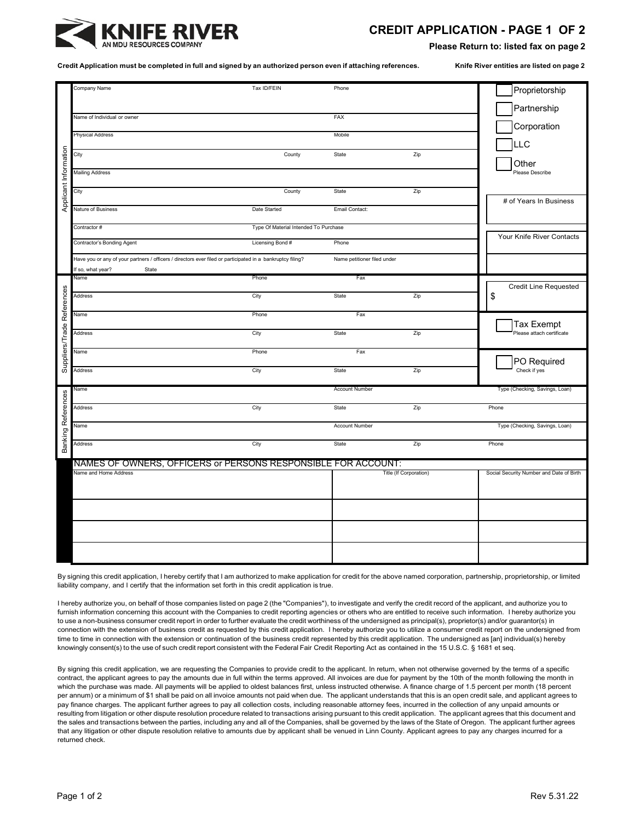

## **CREDIT APPLICATION - PAGE 1 OF 2**

**Please Return to: listed fax on page 2** 

Credit Application must be completed in full and signed by an authorized person even if attaching references. Knife River entities are listed on page 2

|                            | Company Name                                                                                               | Tax ID/FEIN                           | Phone                       |     | Proprietorship                           |
|----------------------------|------------------------------------------------------------------------------------------------------------|---------------------------------------|-----------------------------|-----|------------------------------------------|
|                            |                                                                                                            |                                       |                             |     |                                          |
|                            | Name of Individual or owner                                                                                |                                       | FAX                         |     | Partnership                              |
|                            |                                                                                                            |                                       |                             |     | Corporation                              |
|                            | <b>Physical Address</b>                                                                                    |                                       | Mobile                      |     |                                          |
|                            |                                                                                                            |                                       |                             |     | LLC                                      |
| Applicant Information      | City                                                                                                       | County                                | State                       | Zip |                                          |
|                            | <b>Mailing Address</b>                                                                                     |                                       |                             |     | Other<br>Please Describe                 |
|                            |                                                                                                            |                                       |                             |     |                                          |
|                            | City                                                                                                       | County                                | State                       | Zip |                                          |
|                            |                                                                                                            |                                       |                             |     | # of Years In Business                   |
|                            | Nature of Business                                                                                         | Date Started                          | Email Contact:              |     |                                          |
|                            | Contractor #                                                                                               | Type Of Material Intended To Purchase |                             |     |                                          |
|                            |                                                                                                            |                                       |                             |     | Your Knife River Contacts                |
|                            | Contractor's Bonding Agent                                                                                 | Licensing Bond #                      | Phone                       |     |                                          |
|                            | Have you or any of your partners / officers / directors ever filed or participated in a bankruptcy filing? |                                       | Name petitioner filed under |     |                                          |
|                            | If so, what year?<br>State                                                                                 |                                       |                             |     |                                          |
|                            | Name                                                                                                       | Phone                                 | Fax                         |     |                                          |
|                            |                                                                                                            |                                       |                             |     | <b>Credit Line Requested</b>             |
|                            | Address                                                                                                    | City                                  | State                       | Zip | \$                                       |
| Suppliers/Trade References | Name                                                                                                       | Phone                                 | Fax                         |     |                                          |
|                            |                                                                                                            |                                       |                             |     | <b>Tax Exempt</b>                        |
|                            | Address                                                                                                    | City                                  | State                       | Zip | Please attach certificate                |
|                            |                                                                                                            |                                       |                             |     |                                          |
|                            | Name                                                                                                       | Phone                                 | Fax                         |     | PO Required                              |
|                            | Address                                                                                                    | City                                  | State                       | Zip | Check if yes                             |
|                            |                                                                                                            |                                       |                             |     |                                          |
|                            | Name                                                                                                       |                                       | <b>Account Number</b>       |     | Type (Checking, Savings, Loan)           |
|                            |                                                                                                            |                                       |                             |     | Phone                                    |
|                            | Address                                                                                                    | City                                  | State                       | Zip |                                          |
|                            | Name                                                                                                       |                                       | <b>Account Number</b>       |     | Type (Checking, Savings, Loan)           |
|                            |                                                                                                            |                                       |                             |     |                                          |
| <b>Banking References</b>  | Address                                                                                                    | City                                  | State                       | Zip | Phone                                    |
|                            |                                                                                                            |                                       |                             |     |                                          |
|                            | NAMES OF OWNERS, OFFICERS or PERSONS RESPONSIBLE FOR ACCOUNT:<br>Name and Home Address                     |                                       | Title (If Corporation)      |     | Social Security Number and Date of Birth |
|                            |                                                                                                            |                                       |                             |     |                                          |
|                            |                                                                                                            |                                       |                             |     |                                          |
|                            |                                                                                                            |                                       |                             |     |                                          |
|                            |                                                                                                            |                                       |                             |     |                                          |
|                            |                                                                                                            |                                       |                             |     |                                          |
|                            |                                                                                                            |                                       |                             |     |                                          |
|                            |                                                                                                            |                                       |                             |     |                                          |
|                            |                                                                                                            |                                       |                             |     |                                          |
|                            |                                                                                                            |                                       |                             |     |                                          |

By signing this credit application, I hereby certify that I am authorized to make application for credit for the above named corporation, partnership, proprietorship, or limited liability company, and I certify that the information set forth in this credit application is true.

I hereby authorize you, on behalf of those companies listed on page 2 (the "Companies"), to investigate and verify the credit record of the applicant, and authorize you to furnish information concerning this account with the Companies to credit reporting agencies or others who are entitled to receive such information. I hereby authorize you to use a non-business consumer credit report in order to further evaluate the credit worthiness of the undersigned as principal(s), proprietor(s) and/or guarantor(s) in connection with the extension of business credit as requested by this credit application. I hereby authorize you to utilize a consumer credit report on the undersigned from time to time in connection with the extension or continuation of the business credit represented by this credit application. The undersigned as [an] individual(s) hereby knowingly consent(s) to the use of such credit report consistent with the Federal Fair Credit Reporting Act as contained in the 15 U.S.C. § 1681 et seq.

By signing this credit application, we are requesting the Companies to provide credit to the applicant. In return, when not otherwise governed by the terms of a specific contract, the applicant agrees to pay the amounts due in full within the terms approved. All invoices are due for payment by the 10th of the month following the month in which the purchase was made. All payments will be applied to oldest balances first, unless instructed otherwise. A finance charge of 1.5 percent per month (18 percent per annum) or a minimum of \$1 shall be paid on all invoice amounts not paid when due. The applicant understands that this is an open credit sale, and applicant agrees to pay finance charges. The applicant further agrees to pay all collection costs, including reasonable attorney fees, incurred in the collection of any unpaid amounts or resulting from litigation or other dispute resolution procedure related to transactions arising pursuant to this credit application. The applicant agrees that this document and the sales and transactions between the parties, including any and all of the Companies, shall be governed by the laws of the State of Oregon. The applicant further agrees that any litigation or other dispute resolution relative to amounts due by applicant shall be venued in Linn County. Applicant agrees to pay any charges incurred for a returned check.